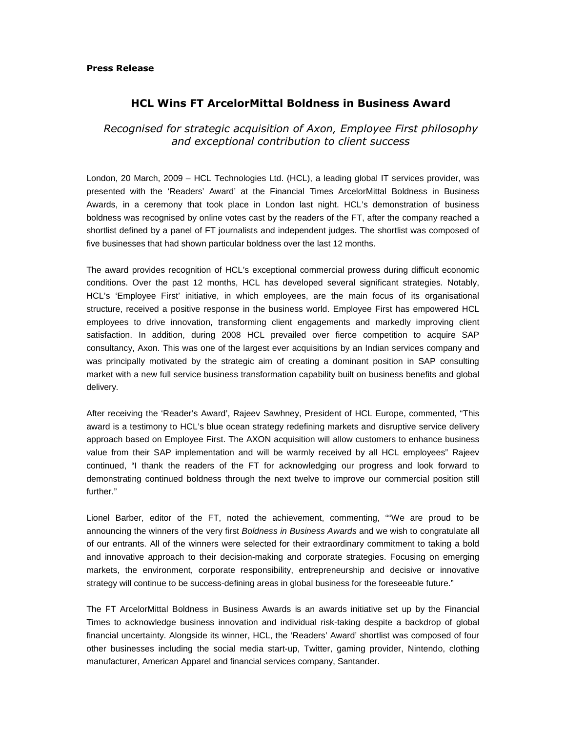## Press Release

## HCL Wins FT ArcelorMittal Boldness in Business Award

Recognised for strategic acquisition of Axon, Employee First philosophy and exceptional contribution to client success

London, 20 March, 2009 – HCL Technologies Ltd. (HCL), a leading global IT services provider, was presented with the 'Readers' Award' at the Financial Times ArcelorMittal Boldness in Business Awards, in a ceremony that took place in London last night. HCL's demonstration of business boldness was recognised by online votes cast by the readers of the FT, after the company reached a shortlist defined by a panel of FT journalists and independent judges. The shortlist was composed of five businesses that had shown particular boldness over the last 12 months.

The award provides recognition of HCL's exceptional commercial prowess during difficult economic conditions. Over the past 12 months, HCL has developed several significant strategies. Notably, HCL's 'Employee First' initiative, in which employees, are the main focus of its organisational structure, received a positive response in the business world. Employee First has empowered HCL employees to drive innovation, transforming client engagements and markedly improving client satisfaction. In addition, during 2008 HCL prevailed over fierce competition to acquire SAP consultancy, Axon. This was one of the largest ever acquisitions by an Indian services company and was principally motivated by the strategic aim of creating a dominant position in SAP consulting market with a new full service business transformation capability built on business benefits and global delivery.

After receiving the 'Reader's Award', Rajeev Sawhney, President of HCL Europe, commented, "This award is a testimony to HCL's blue ocean strategy redefining markets and disruptive service delivery approach based on Employee First. The AXON acquisition will allow customers to enhance business value from their SAP implementation and will be warmly received by all HCL employees" Rajeev continued, "I thank the readers of the FT for acknowledging our progress and look forward to demonstrating continued boldness through the next twelve to improve our commercial position still further."

Lionel Barber, editor of the FT, noted the achievement, commenting, ""We are proud to be announcing the winners of the very first Boldness in Business Awards and we wish to congratulate all of our entrants. All of the winners were selected for their extraordinary commitment to taking a bold and innovative approach to their decision-making and corporate strategies. Focusing on emerging markets, the environment, corporate responsibility, entrepreneurship and decisive or innovative strategy will continue to be success-defining areas in global business for the foreseeable future."

The FT ArcelorMittal Boldness in Business Awards is an awards initiative set up by the Financial Times to acknowledge business innovation and individual risk-taking despite a backdrop of global financial uncertainty. Alongside its winner, HCL, the 'Readers' Award' shortlist was composed of four other businesses including the social media start-up, Twitter, gaming provider, Nintendo, clothing manufacturer, American Apparel and financial services company, Santander.